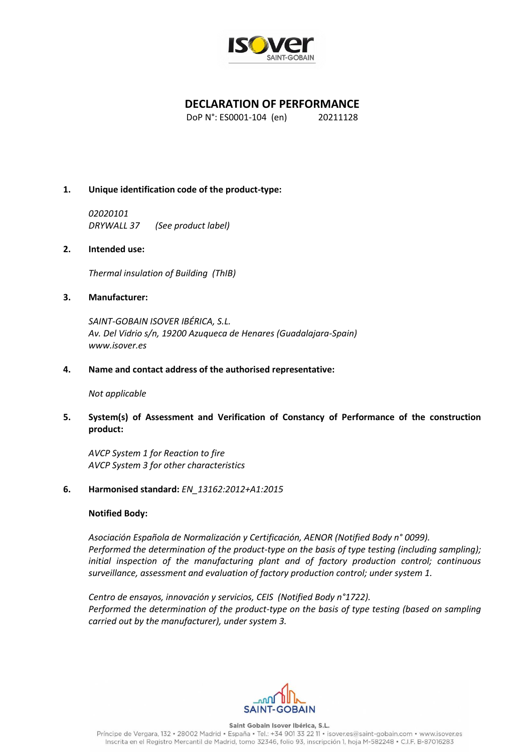

# **DECLARATION OF PERFORMANCE**

DoP N°: ES0001-104 (en) 20211128

## **1. Unique identification code of the product-type:**

*02020101 DRYWALL 37 (See product label)*

### **2. Intended use:**

*Thermal insulation of Building (ThIB)*

### **3. Manufacturer:**

*SAINT-GOBAIN ISOVER IBÉRICA, S.L. Av. Del Vidrio s/n, 19200 Azuqueca de Henares (Guadalajara-Spain) www.isover.es*

#### **4. Name and contact address of the authorised representative:**

#### *Not applicable*

**5. System(s) of Assessment and Verification of Constancy of Performance of the construction product:** 

*AVCP System 1 for Reaction to fire AVCP System 3 for other characteristics*

### **6. Harmonised standard:** *EN\_13162:2012+A1:2015*

### **Notified Body:**

*Asociación Española de Normalización y Certificación, AENOR (Notified Body n° 0099). Performed the determination of the product-type on the basis of type testing (including sampling); initial inspection of the manufacturing plant and of factory production control; continuous surveillance, assessment and evaluation of factory production control; under system 1.*

*Centro de ensayos, innovación y servicios, CEIS (Notified Body n°1722). Performed the determination of the product-type on the basis of type testing (based on sampling carried out by the manufacturer), under system 3.*



Saint Gobain Isover Ibérica, S.L.

Príncipe de Vergara, 132 · 28002 Madrid · España · Tel.: +34 901 33 22 11 · isover.es@saint-gobain.com · www.isover.es Inscrita en el Registro Mercantil de Madrid, tomo 32346, folio 93, inscripción 1, hoja M-582248 · C.I.F. B-87016283